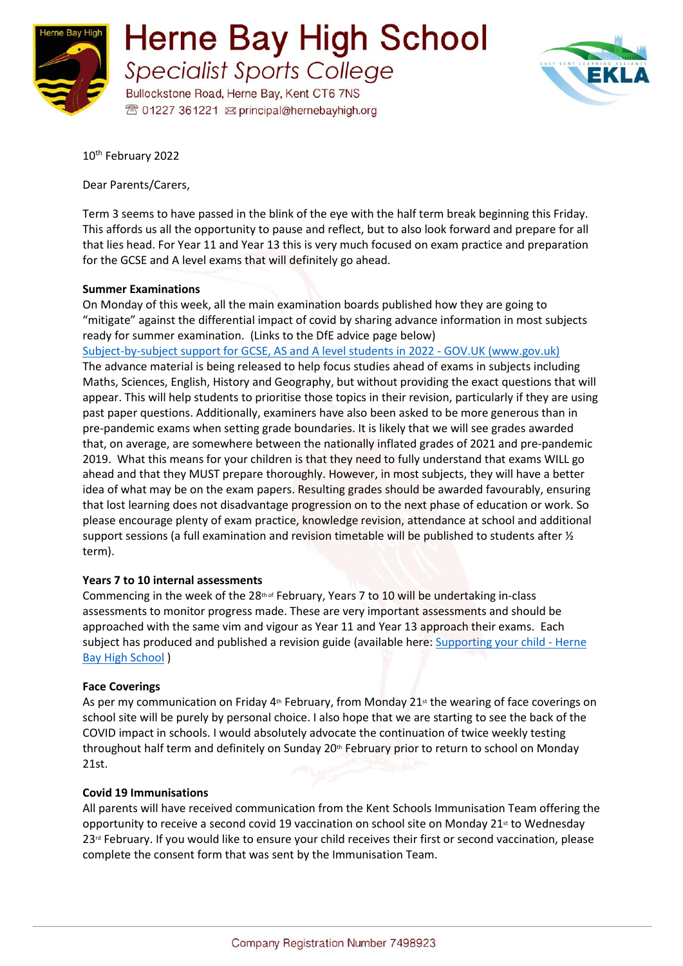

**Herne Bay High School Specialist Sports College** 

Bullockstone Road, Herne Bay, Kent CT6 7NS <sup>®</sup> 01227 361221 <br> principal@hernebayhigh.org



10<sup>th</sup> February 2022

Dear Parents/Carers,

Term 3 seems to have passed in the blink of the eye with the half term break beginning this Friday. This affords us all the opportunity to pause and reflect, but to also look forward and prepare for all that lies head. For Year 11 and Year 13 this is very much focused on exam practice and preparation for the GCSE and A level exams that will definitely go ahead.

## **Summer Examinations**

On Monday of this week, all the main examination boards published how they are going to "mitigate" against the differential impact of covid by sharing advance information in most subjects ready for summer examination. (Links to the DfE advice page below)

[Subject-by-subject support for GCSE, AS and A level students in 2022 -](https://www.gov.uk/guidance/subject-by-subject-support-for-gcse-as-and-a-level-students-in-2022) GOV.UK (www.gov.uk) The advance material is being released to help focus studies ahead of exams in subjects including Maths, Sciences, English, History and Geography, but without providing the exact questions that will appear. This will help students to prioritise those topics in their revision, particularly if they are using past paper questions. Additionally, examiners have also been asked to be more generous than in pre-pandemic exams when setting grade boundaries. It is likely that we will see grades awarded that, on average, are somewhere between the nationally inflated grades of 2021 and pre-pandemic 2019. What this means for your children is that they need to fully understand that exams WILL go ahead and that they MUST prepare thoroughly. However, in most subjects, they will have a better idea of what may be on the exam papers. Resulting grades should be awarded favourably, ensuring that lost learning does not disadvantage progression on to the next phase of education or work. So please encourage plenty of exam practice, knowledge revision, attendance at school and additional support sessions (a full examination and revision timetable will be published to students after ½ term).

# **Years 7 to 10 internal assessments**

Commencing in the week of the  $28th$  of February, Years 7 to 10 will be undertaking in-class assessments to monitor progress made. These are very important assessments and should be approached with the same vim and vigour as Year 11 and Year 13 approach their exams. Each subject has produced and published a revision guide (available here: [Supporting your child -](https://www.hernebayhigh.org/information/supporting-your-child/) Herne **[Bay High School](https://www.hernebayhigh.org/information/supporting-your-child/)** )

#### **Face Coverings**

As per my communication on Friday  $4<sup>th</sup>$  February, from Monday 21 $<sup>st</sup>$  the wearing of face coverings on</sup> school site will be purely by personal choice. I also hope that we are starting to see the back of the COVID impact in schools. I would absolutely advocate the continuation of twice weekly testing throughout half term and definitely on Sunday 20<sup>th</sup> February prior to return to school on Monday 21st.

#### **Covid 19 Immunisations**

All parents will have received communication from the Kent Schools Immunisation Team offering the opportunity to receive a second covid 19 vaccination on school site on Monday 21st to Wednesday 23<sup>rd</sup> February. If you would like to ensure your child receives their first or second vaccination, please complete the consent form that was sent by the Immunisation Team.